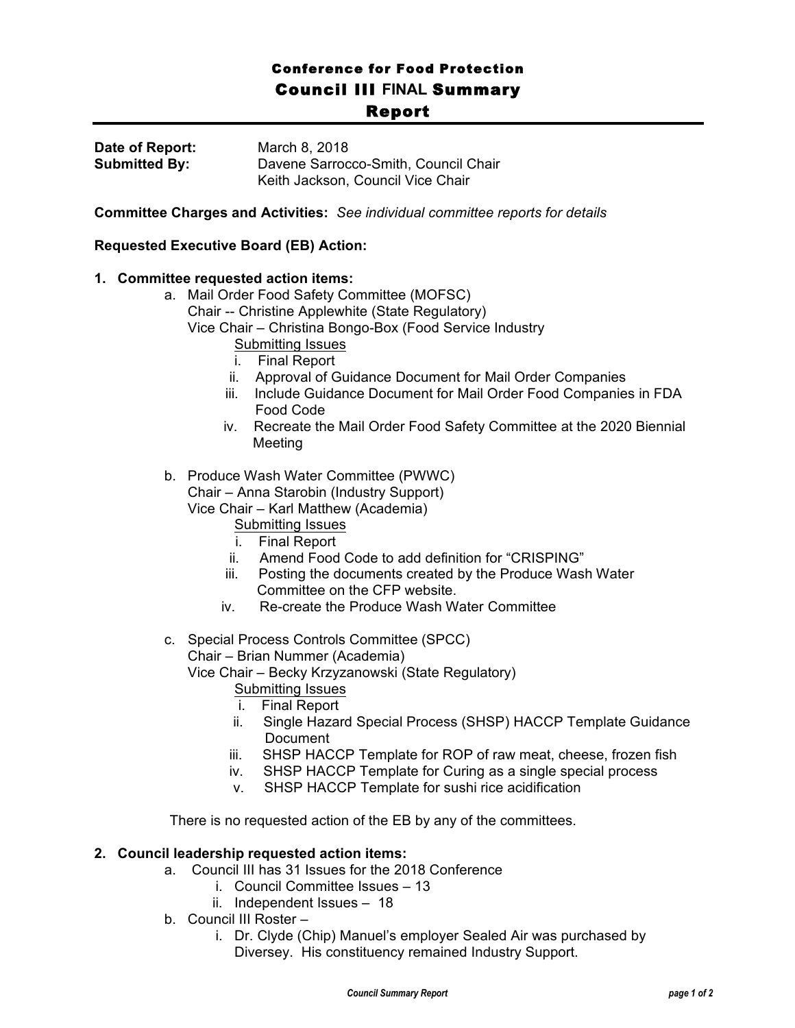## Conference for Food Protection Council III **FINAL** Summary <u>Report Report Report E</u>

| Date of Report:      | March 8, 2018                        |
|----------------------|--------------------------------------|
| <b>Submitted By:</b> | Davene Sarrocco-Smith, Council Chair |
|                      | Keith Jackson, Council Vice Chair    |

**Committee Charges and Activities:** *See individual committee reports for details*

## **Requested Executive Board (EB) Action:**

## **1. Committee requested action items:**

- a. Mail Order Food Safety Committee (MOFSC)
	- Chair -- Christine Applewhite (State Regulatory)
	- Vice Chair Christina Bongo-Box (Food Service Industry
		- Submitting Issues
		- i. Final Report
		- ii. Approval of Guidance Document for Mail Order Companies
		- iii. Include Guidance Document for Mail Order Food Companies in FDA Food Code
		- iv. Recreate the Mail Order Food Safety Committee at the 2020 Biennial Meeting
- b. Produce Wash Water Committee (PWWC) Chair – Anna Starobin (Industry Support)

Vice Chair – Karl Matthew (Academia)

- Submitting Issues
- i. Final Report
- ii. Amend Food Code to add definition for "CRISPING"
- iii. Posting the documents created by the Produce Wash Water Committee on the CFP website.
- iv. Re-create the Produce Wash Water Committee
- c. Special Process Controls Committee (SPCC)

Chair – Brian Nummer (Academia)

Vice Chair – Becky Krzyzanowski (State Regulatory)

Submitting Issues

- i. Final Report
- ii. Single Hazard Special Process (SHSP) HACCP Template Guidance Document
- iii. SHSP HACCP Template for ROP of raw meat, cheese, frozen fish
- iv. SHSP HACCP Template for Curing as a single special process
- v. SHSP HACCP Template for sushi rice acidification

There is no requested action of the EB by any of the committees.

## **2. Council leadership requested action items:**

- a. Council III has 31 Issues for the 2018 Conference
	- i. Council Committee Issues 13
	- ii. Independent Issues 18
- b. Council III Roster
	- i. Dr. Clyde (Chip) Manuel's employer Sealed Air was purchased by Diversey. His constituency remained Industry Support.